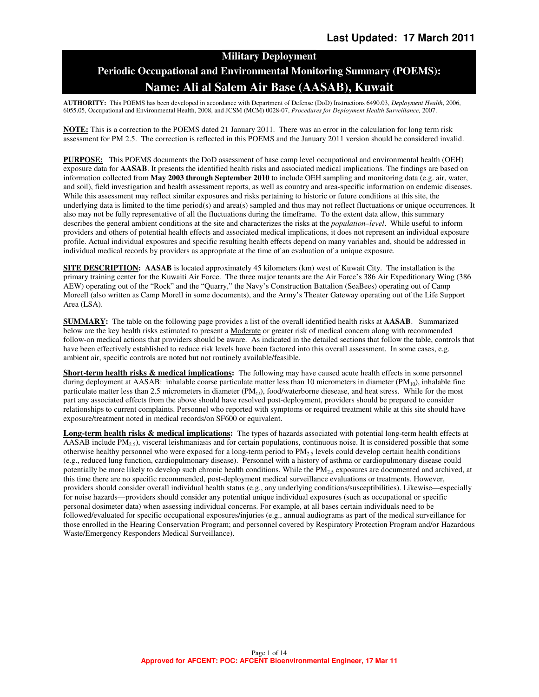# **Military Deployment Periodic Occupational and Environmental Monitoring Summary (POEMS): Name: Ali al Salem Air Base (AASAB), Kuwait**

**AUTHORITY:** This POEMS has been developed in accordance with Department of Defense (DoD) Instructions 6490.03, *Deployment Health*, 2006, 6055.05, Occupational and Environmental Health, 2008, and JCSM (MCM) 0028-07, *Procedures for Deployment Health Surveillance,* 2007.

**NOTE:** This is a correction to the POEMS dated 21 January 2011. There was an error in the calculation for long term risk assessment for PM 2.5. The correction is reflected in this POEMS and the January 2011 version should be considered invalid.

**PURPOSE:** This POEMS documents the DoD assessment of base camp level occupational and environmental health (OEH) exposure data for **AASAB**. It presents the identified health risks and associated medical implications. The findings are based on information collected from **May 2003 through September 2010** to include OEH sampling and monitoring data (e.g. air, water, and soil), field investigation and health assessment reports, as well as country and area-specific information on endemic diseases. While this assessment may reflect similar exposures and risks pertaining to historic or future conditions at this site, the underlying data is limited to the time period(s) and area(s) sampled and thus may not reflect fluctuations or unique occurrences. It also may not be fully representative of all the fluctuations during the timeframe. To the extent data allow, this summary describes the general ambient conditions at the site and characterizes the risks at the *population–level*. While useful to inform providers and others of potential health effects and associated medical implications, it does not represent an individual exposure profile. Actual individual exposures and specific resulting health effects depend on many variables and, should be addressed in individual medical records by providers as appropriate at the time of an evaluation of a unique exposure.

**SITE DESCRIPTION:** AASAB is located approximately 45 kilometers (km) west of Kuwait City. The installation is the primary training center for the Kuwaiti Air Force. The three major tenants are the Air Force's 386 Air Expeditionary Wing (386 AEW) operating out of the "Rock" and the "Quarry," the Navy's Construction Battalion (SeaBees) operating out of Camp Moreell (also written as Camp Morell in some documents), and the Army's Theater Gateway operating out of the Life Support Area (LSA).

**SUMMARY:** The table on the following page provides a list of the overall identified health risks at **AASAB**. Summarized below are the key health risks estimated to present a **Moderate** or greater risk of medical concern along with recommended follow-on medical actions that providers should be aware. As indicated in the detailed sections that follow the table, controls that have been effectively established to reduce risk levels have been factored into this overall assessment. In some cases, e.g. ambient air, specific controls are noted but not routinely available/feasible.

**Short-term health risks & medical implications:** The following may have caused acute health effects in some personnel during deployment at AASAB: inhalable coarse particulate matter less than 10 micrometers in diameter (PM<sub>10</sub>), inhalable fine particulate matter less than 2.5 micrometers in diameter (PM<sub>23</sub>), food/waterborne diesease, and heat stress. While for the most part any associated effects from the above should have resolved post-deployment, providers should be prepared to consider relationships to current complaints. Personnel who reported with symptoms or required treatment while at this site should have exposure/treatment noted in medical records/on SF600 or equivalent.

**Long-term health risks & medical implications:** The types of hazards associated with potential long-term health effects at  $\overline{AASAB}$  include PM<sub>2.5</sub>), visceral leishmaniasis and for certain populations, continuous noise. It is considered possible that some otherwise healthy personnel who were exposed for a long-term period to  $PM_2$ , levels could develop certain health conditions (e.g., reduced lung function, cardiopulmonary disease). Personnel with a history of asthma or cardiopulmonary disease could potentially be more likely to develop such chronic health conditions. While the PM<sub>25</sub> exposures are documented and archived, at this time there are no specific recommended, post-deployment medical surveillance evaluations or treatments. However, providers should consider overall individual health status (e.g., any underlying conditions/susceptibilities). Likewise—especially for noise hazards—providers should consider any potential unique individual exposures (such as occupational or specific personal dosimeter data) when assessing individual concerns. For example, at all bases certain individuals need to be followed/evaluated for specific occupational exposures/injuries (e.g., annual audiograms as part of the medical surveillance for those enrolled in the Hearing Conservation Program; and personnel covered by Respiratory Protection Program and/or Hazardous Waste/Emergency Responders Medical Surveillance).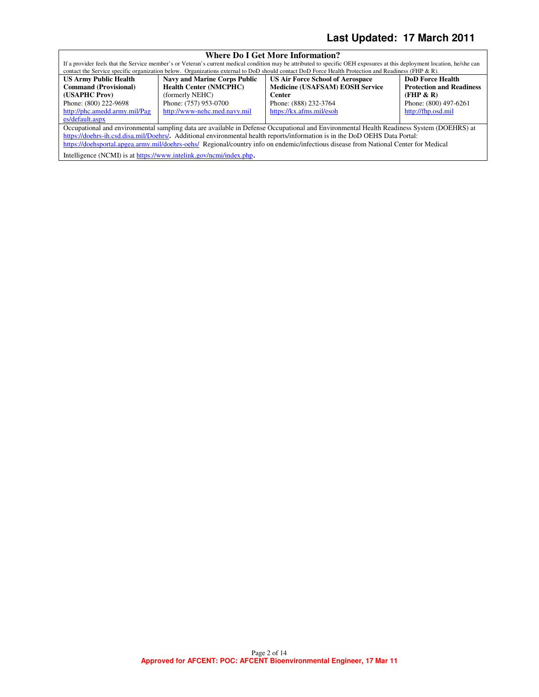# **Last Updated: 17 March 2011**

| <b>Where Do I Get More Information?</b>                                                                                                  |                                                                    |                                                                                                                                                                          |                                 |  |
|------------------------------------------------------------------------------------------------------------------------------------------|--------------------------------------------------------------------|--------------------------------------------------------------------------------------------------------------------------------------------------------------------------|---------------------------------|--|
|                                                                                                                                          |                                                                    | If a provider feels that the Service member's or Veteran's current medical condition may be attributed to specific OEH exposures at this deployment location, he/she can |                                 |  |
|                                                                                                                                          |                                                                    | contact the Service specific organization below. Organizations external to DoD should contact DoD Force Health Protection and Readiness (FHP & R).                       |                                 |  |
| <b>US Army Public Health</b>                                                                                                             | <b>Navy and Marine Corps Public</b>                                | <b>US Air Force School of Aerospace</b>                                                                                                                                  | <b>DoD</b> Force Health         |  |
| <b>Command (Provisional)</b>                                                                                                             | <b>Health Center (NMCPHC)</b>                                      | <b>Medicine (USAFSAM) EOSH Service</b>                                                                                                                                   | <b>Protection and Readiness</b> |  |
| (USAPHC Prov)                                                                                                                            | (formerly NEHC)                                                    | <b>Center</b>                                                                                                                                                            | (FHP & R)                       |  |
| Phone: (800) 222-9698                                                                                                                    | Phone: (757) 953-0700                                              | Phone: (888) 232-3764                                                                                                                                                    | Phone: (800) 497-6261           |  |
| http://phc.amedd.army.mil/Pag                                                                                                            | http://www-nehc.med.navy.mil                                       | https://kx.afms.mil/esoh                                                                                                                                                 | http://fhp.osd.mil              |  |
| es/default.aspx                                                                                                                          |                                                                    |                                                                                                                                                                          |                                 |  |
| Occupational and environmental sampling data are available in Defense Occupational and Environmental Health Readiness System (DOEHRS) at |                                                                    |                                                                                                                                                                          |                                 |  |
|                                                                                                                                          |                                                                    | https://doehrs-ih.csd.disa.mil/Doehrs/. Additional environmental health reports/information is in the DoD OEHS Data Portal:                                              |                                 |  |
| https://doehsportal.apgea.army.mil/doehrs-oehs/ Regional/country info on endemic/infectious disease from National Center for Medical     |                                                                    |                                                                                                                                                                          |                                 |  |
|                                                                                                                                          | Intelligence (NCMI) is at https://www.intelink.gov/ncmi/index.php. |                                                                                                                                                                          |                                 |  |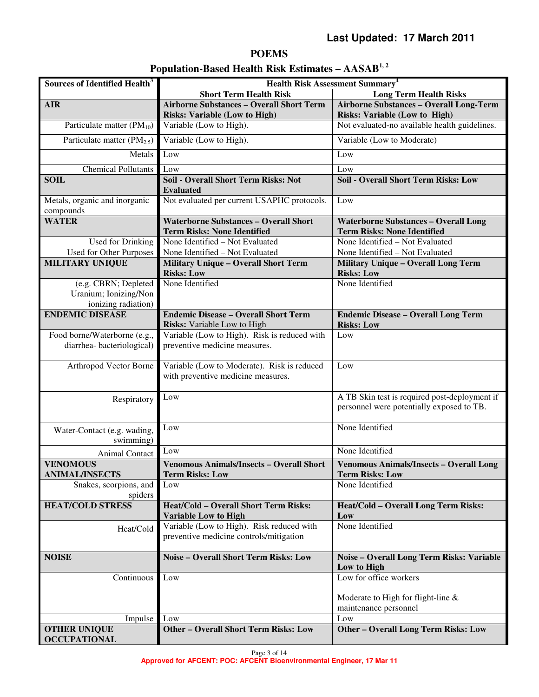# **POEMS**

| Population-Based Health Risk Estimates - AASAB <sup>1,2</sup> |  |  |  |  |
|---------------------------------------------------------------|--|--|--|--|
|---------------------------------------------------------------|--|--|--|--|

| Sources of Identified Health <sup>3</sup>                            | <b>Health Risk Assessment Summary<sup>4</sup></b>                                    |                                                                                            |  |
|----------------------------------------------------------------------|--------------------------------------------------------------------------------------|--------------------------------------------------------------------------------------------|--|
|                                                                      | <b>Short Term Health Risk</b>                                                        | <b>Long Term Health Risks</b>                                                              |  |
| <b>AIR</b>                                                           | <b>Airborne Substances - Overall Short Term</b>                                      | <b>Airborne Substances - Overall Long-Term</b>                                             |  |
|                                                                      | <b>Risks: Variable (Low to High)</b>                                                 | <b>Risks: Variable (Low to High)</b>                                                       |  |
| Particulate matter $(PM_{10})$                                       | Variable (Low to High).                                                              | Not evaluated-no available health guidelines.                                              |  |
| Particulate matter $(PM_{2.5})$                                      | Variable (Low to High).                                                              | Variable (Low to Moderate)                                                                 |  |
| Metals                                                               | Low                                                                                  | Low                                                                                        |  |
| Chemical Pollutants                                                  | Low                                                                                  | Low                                                                                        |  |
| <b>SOIL</b>                                                          | <b>Soil - Overall Short Term Risks: Not</b><br><b>Evaluated</b>                      | <b>Soil - Overall Short Term Risks: Low</b>                                                |  |
| Metals, organic and inorganic<br>compounds                           | Not evaluated per current USAPHC protocols.                                          | Low                                                                                        |  |
| <b>WATER</b>                                                         | <b>Waterborne Substances - Overall Short</b><br><b>Term Risks: None Identified</b>   | <b>Waterborne Substances - Overall Long</b><br><b>Term Risks: None Identified</b>          |  |
| Used for Drinking                                                    | None Identified - Not Evaluated                                                      | None Identified - Not Evaluated                                                            |  |
| <b>Used for Other Purposes</b>                                       | None Identified - Not Evaluated                                                      | None Identified - Not Evaluated                                                            |  |
| <b>MILITARY UNIQUE</b>                                               | <b>Military Unique - Overall Short Term</b><br><b>Risks: Low</b>                     | <b>Military Unique - Overall Long Term</b><br><b>Risks: Low</b>                            |  |
| (e.g. CBRN; Depleted<br>Uranium; Ionizing/Non<br>ionizing radiation) | None Identified                                                                      | None Identified                                                                            |  |
| <b>ENDEMIC DISEASE</b>                                               | <b>Endemic Disease - Overall Short Term</b><br>Risks: Variable Low to High           | <b>Endemic Disease - Overall Long Term</b><br><b>Risks: Low</b>                            |  |
| Food borne/Waterborne (e.g.,                                         | Variable (Low to High). Risk is reduced with                                         | Low                                                                                        |  |
| diarrhea-bacteriological)                                            | preventive medicine measures.                                                        |                                                                                            |  |
| Arthropod Vector Borne                                               | Variable (Low to Moderate). Risk is reduced<br>with preventive medicine measures.    | Low                                                                                        |  |
| Respiratory                                                          | Low                                                                                  | A TB Skin test is required post-deployment if<br>personnel were potentially exposed to TB. |  |
| Water-Contact (e.g. wading,<br>swimming)                             | Low                                                                                  | None Identified                                                                            |  |
| Animal Contact                                                       | Low                                                                                  | None Identified                                                                            |  |
| <b>VENOMOUS</b>                                                      | <b>Venomous Animals/Insects - Overall Short</b>                                      | <b>Venomous Animals/Insects - Overall Long</b>                                             |  |
| <b>ANIMAL/INSECTS</b>                                                | Term Risks: Low                                                                      | Term Risks: Low                                                                            |  |
| Snakes, scorpions, and<br>spiders                                    | Low                                                                                  | None Identified                                                                            |  |
| <b>HEAT/COLD STRESS</b>                                              | <b>Heat/Cold - Overall Short Term Risks:</b>                                         | Heat/Cold - Overall Long Term Risks:                                                       |  |
|                                                                      | <b>Variable Low to High</b>                                                          | Low                                                                                        |  |
| Heat/Cold                                                            | Variable (Low to High). Risk reduced with<br>preventive medicine controls/mitigation | None Identified                                                                            |  |
| <b>NOISE</b>                                                         | <b>Noise - Overall Short Term Risks: Low</b>                                         | Noise - Overall Long Term Risks: Variable                                                  |  |
|                                                                      |                                                                                      | Low to High                                                                                |  |
| Continuous                                                           | Low                                                                                  | Low for office workers                                                                     |  |
|                                                                      |                                                                                      | Moderate to High for flight-line $\&$<br>maintenance personnel                             |  |
| Impulse                                                              | Low                                                                                  | Low                                                                                        |  |
| <b>OTHER UNIQUE</b><br><b>OCCUPATIONAL</b>                           | <b>Other - Overall Short Term Risks: Low</b>                                         | <b>Other - Overall Long Term Risks: Low</b>                                                |  |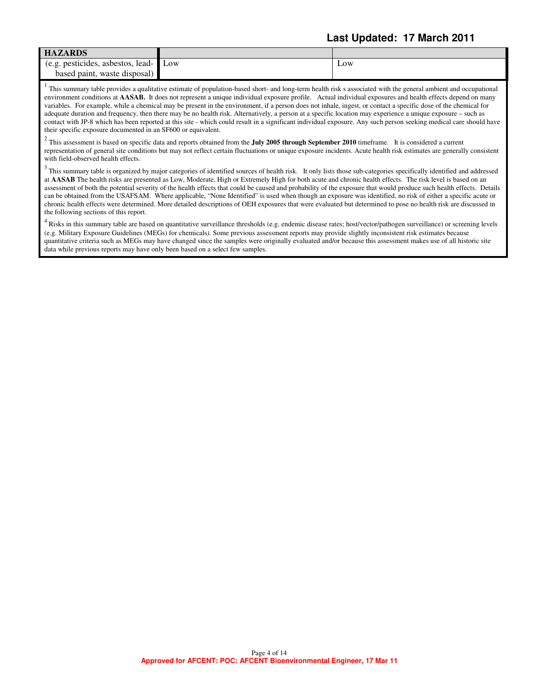# **Last Updated: 17 March 2011**

| <b>HAZARDS</b>                    |     |     |
|-----------------------------------|-----|-----|
| (e.g. pesticides, asbestos, lead- | Low | Low |
| waste disposal)<br>based paint.   |     |     |

 $<sup>1</sup>$  This summary table provides a qualitative estimate of population-based short- and long-term health risk s associated with the general ambient and occupational</sup> environment conditions at **AASAB.** It does not represent a unique individual exposure profile. Actual individual exposures and health effects depend on many variables. For example, while a chemical may be present in the environment, if a person does not inhale, ingest, or contact a specific dose of the chemical for adequate duration and frequency, then there may be no health risk. Alternatively, a person at a specific location may experience a unique exposure – such as contact with JP-8 which has been reported at this site - which could result in a significant individual exposure. Any such person seeking medical care should have their specific exposure documented in an SF600 or equivalent.

2 This assessment is based on specific data and reports obtained from the **July 2005 through September 2010** timeframe. It is considered a current representation of general site conditions but may not reflect certain fluctuations or unique exposure incidents. Acute health risk estimates are generally consistent with field-observed health effects.

 $3$  This summary table is organized by major categories of identified sources of health risk. It only lists those sub-categories specifically identified and addressed at **AASAB** The health risks are presented as Low, Moderate, High or Extremely High for both acute and chronic health effects. The risk level is based on an assessment of both the potential severity of the health effects that could be caused and probability of the exposure that would produce such health effects. Details can be obtained from the USAFSAM. Where applicable, "None Identified" is used when though an exposure was identified, no risk of either a specific acute or chronic health effects were determined. More detailed descriptions of OEH exposures that were evaluated but determined to pose no health risk are discussed in the following sections of this report.

 $4$  Risks in this summary table are based on quantitative surveillance thresholds (e.g. endemic disease rates; host/vector/pathogen surveillance) or screening levels (e.g. Military Exposure Guidelines (MEGs) for chemicals*).* Some previous assessment reports may provide slightly inconsistent risk estimates because quantitative criteria such as MEGs may have changed since the samples were originally evaluated and/or because this assessment makes use of all historic site data while previous reports may have only been based on a select few samples.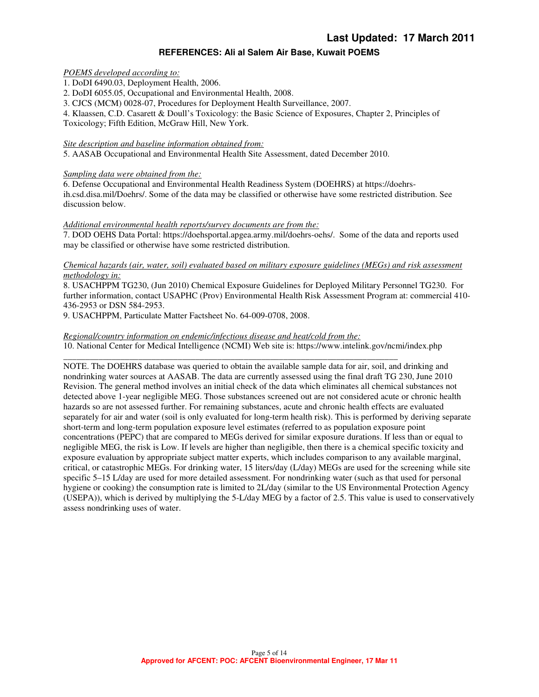#### **REFERENCES: Ali al Salem Air Base, Kuwait POEMS**

#### *POEMS developed according to:*

1. DoDI 6490.03, Deployment Health, 2006.

2. DoDI 6055.05, Occupational and Environmental Health, 2008.

3. CJCS (MCM) 0028-07, Procedures for Deployment Health Surveillance, 2007.

4. Klaassen, C.D. Casarett & Doull's Toxicology: the Basic Science of Exposures, Chapter 2, Principles of Toxicology; Fifth Edition, McGraw Hill, New York.

#### *Site description and baseline information obtained from:*

5. AASAB Occupational and Environmental Health Site Assessment, dated December 2010.

#### *Sampling data were obtained from the:*

6. Defense Occupational and Environmental Health Readiness System (DOEHRS) at https://doehrsih.csd.disa.mil/Doehrs/. Some of the data may be classified or otherwise have some restricted distribution. See discussion below.

#### *Additional environmental health reports/survey documents are from the:*

7. DOD OEHS Data Portal: https://doehsportal.apgea.army.mil/doehrs-oehs/. Some of the data and reports used may be classified or otherwise have some restricted distribution.

#### *Chemical hazards (air, water, soil) evaluated based on military exposure guidelines (MEGs) and risk assessment methodology in:*

8. USACHPPM TG230, (Jun 2010) Chemical Exposure Guidelines for Deployed Military Personnel TG230. For further information, contact USAPHC (Prov) Environmental Health Risk Assessment Program at: commercial 410- 436-2953 or DSN 584-2953.

9. USACHPPM, Particulate Matter Factsheet No. 64-009-0708, 2008.

## *Regional/country information on endemic/infectious disease and heat/cold from the:*

10. National Center for Medical Intelligence (NCMI) Web site is: https://www.intelink.gov/ncmi/index.php

\_\_\_\_\_\_\_\_\_\_\_\_\_\_\_\_\_\_\_\_\_\_\_\_\_\_\_\_\_\_\_\_\_\_\_\_\_\_\_\_\_\_\_\_\_\_\_\_\_\_\_\_\_\_\_\_\_\_\_\_\_\_\_\_\_\_\_\_\_\_\_\_\_\_\_\_ NOTE. The DOEHRS database was queried to obtain the available sample data for air, soil, and drinking and nondrinking water sources at AASAB. The data are currently assessed using the final draft TG 230, June 2010 Revision. The general method involves an initial check of the data which eliminates all chemical substances not detected above 1-year negligible MEG. Those substances screened out are not considered acute or chronic health hazards so are not assessed further. For remaining substances, acute and chronic health effects are evaluated separately for air and water (soil is only evaluated for long-term health risk). This is performed by deriving separate short-term and long-term population exposure level estimates (referred to as population exposure point concentrations (PEPC) that are compared to MEGs derived for similar exposure durations. If less than or equal to negligible MEG, the risk is Low. If levels are higher than negligible, then there is a chemical specific toxicity and exposure evaluation by appropriate subject matter experts, which includes comparison to any available marginal, critical, or catastrophic MEGs. For drinking water, 15 liters/day (L/day) MEGs are used for the screening while site specific 5–15 L/day are used for more detailed assessment. For nondrinking water (such as that used for personal hygiene or cooking) the consumption rate is limited to 2L/day (similar to the US Environmental Protection Agency (USEPA)), which is derived by multiplying the 5-L/day MEG by a factor of 2.5. This value is used to conservatively assess nondrinking uses of water.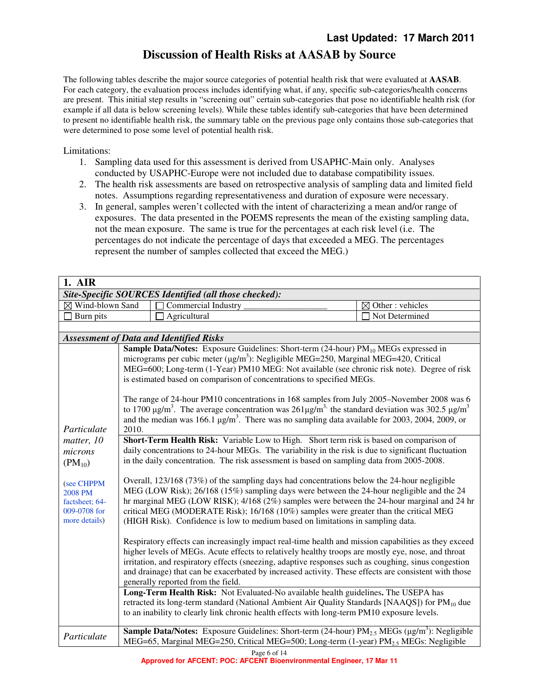# **Discussion of Health Risks at AASAB by Source**

The following tables describe the major source categories of potential health risk that were evaluated at **AASAB**. For each category, the evaluation process includes identifying what, if any, specific sub-categories/health concerns are present. This initial step results in "screening out" certain sub-categories that pose no identifiable health risk (for example if all data is below screening levels). While these tables identify sub-categories that have been determined to present no identifiable health risk, the summary table on the previous page only contains those sub-categories that were determined to pose some level of potential health risk.

Limitations:

- 1. Sampling data used for this assessment is derived from USAPHC-Main only. Analyses conducted by USAPHC-Europe were not included due to database compatibility issues.
- 2. The health risk assessments are based on retrospective analysis of sampling data and limited field notes. Assumptions regarding representativeness and duration of exposure were necessary.
- 3. In general, samples weren't collected with the intent of characterizing a mean and/or range of exposures. The data presented in the POEMS represents the mean of the existing sampling data, not the mean exposure. The same is true for the percentages at each risk level (i.e. The percentages do not indicate the percentage of days that exceeded a MEG. The percentages represent the number of samples collected that exceed the MEG.)

| 1. AIR                                                                                                                          |                                                                                                                                                                                                                                                                                                                                                                                                                                                                                                                                                                                                                                                                                                                                                                                                                                                                                                                                                                                                                                                                                                                                                                                                                                                                                                                                                                                                                                                                                                                                                                                                                                                                                                                                                                                                                                                                                                                                                                                                                                                                                                                                                                                                                                                                                                          |                      |
|---------------------------------------------------------------------------------------------------------------------------------|----------------------------------------------------------------------------------------------------------------------------------------------------------------------------------------------------------------------------------------------------------------------------------------------------------------------------------------------------------------------------------------------------------------------------------------------------------------------------------------------------------------------------------------------------------------------------------------------------------------------------------------------------------------------------------------------------------------------------------------------------------------------------------------------------------------------------------------------------------------------------------------------------------------------------------------------------------------------------------------------------------------------------------------------------------------------------------------------------------------------------------------------------------------------------------------------------------------------------------------------------------------------------------------------------------------------------------------------------------------------------------------------------------------------------------------------------------------------------------------------------------------------------------------------------------------------------------------------------------------------------------------------------------------------------------------------------------------------------------------------------------------------------------------------------------------------------------------------------------------------------------------------------------------------------------------------------------------------------------------------------------------------------------------------------------------------------------------------------------------------------------------------------------------------------------------------------------------------------------------------------------------------------------------------------------|----------------------|
|                                                                                                                                 | Site-Specific SOURCES Identified (all those checked):                                                                                                                                                                                                                                                                                                                                                                                                                                                                                                                                                                                                                                                                                                                                                                                                                                                                                                                                                                                                                                                                                                                                                                                                                                                                                                                                                                                                                                                                                                                                                                                                                                                                                                                                                                                                                                                                                                                                                                                                                                                                                                                                                                                                                                                    |                      |
| $\boxtimes$ Wind-blown Sand                                                                                                     | <b>Commercial Industry</b>                                                                                                                                                                                                                                                                                                                                                                                                                                                                                                                                                                                                                                                                                                                                                                                                                                                                                                                                                                                                                                                                                                                                                                                                                                                                                                                                                                                                                                                                                                                                                                                                                                                                                                                                                                                                                                                                                                                                                                                                                                                                                                                                                                                                                                                                               | Other: vehicles<br>⊠ |
| Burn pits                                                                                                                       | Agricultural                                                                                                                                                                                                                                                                                                                                                                                                                                                                                                                                                                                                                                                                                                                                                                                                                                                                                                                                                                                                                                                                                                                                                                                                                                                                                                                                                                                                                                                                                                                                                                                                                                                                                                                                                                                                                                                                                                                                                                                                                                                                                                                                                                                                                                                                                             | Not Determined       |
|                                                                                                                                 |                                                                                                                                                                                                                                                                                                                                                                                                                                                                                                                                                                                                                                                                                                                                                                                                                                                                                                                                                                                                                                                                                                                                                                                                                                                                                                                                                                                                                                                                                                                                                                                                                                                                                                                                                                                                                                                                                                                                                                                                                                                                                                                                                                                                                                                                                                          |                      |
|                                                                                                                                 | <b>Assessment of Data and Identified Risks</b>                                                                                                                                                                                                                                                                                                                                                                                                                                                                                                                                                                                                                                                                                                                                                                                                                                                                                                                                                                                                                                                                                                                                                                                                                                                                                                                                                                                                                                                                                                                                                                                                                                                                                                                                                                                                                                                                                                                                                                                                                                                                                                                                                                                                                                                           |                      |
| Particulate<br>matter, 10<br>microns<br>$(PM_{10})$<br>(see CHPPM<br>2008 PM<br>factsheet; 64-<br>009-0708 for<br>more details) | Sample Data/Notes: Exposure Guidelines: Short-term (24-hour) PM <sub>10</sub> MEGs expressed in<br>micrograms per cubic meter ( $\mu$ g/m <sup>3</sup> ): Negligible MEG=250, Marginal MEG=420, Critical<br>MEG=600; Long-term (1-Year) PM10 MEG: Not available (see chronic risk note). Degree of risk<br>is estimated based on comparison of concentrations to specified MEGs.<br>The range of 24-hour PM10 concentrations in 168 samples from July 2005–November 2008 was 6<br>to 1700 $\mu$ g/m <sup>3</sup> . The average concentration was 261 $\mu$ g/m <sup>3</sup> the standard deviation was 302.5 $\mu$ g/m <sup>3</sup><br>and the median was 166.1 $\mu$ g/m <sup>3</sup> . There was no sampling data available for 2003, 2004, 2009, or<br>2010.<br>Short-Term Health Risk: Variable Low to High. Short term risk is based on comparison of<br>daily concentrations to 24-hour MEGs. The variability in the risk is due to significant fluctuation<br>in the daily concentration. The risk assessment is based on sampling data from 2005-2008.<br>Overall, $123/168$ (73%) of the sampling days had concentrations below the 24-hour negligible<br>MEG (LOW Risk); 26/168 (15%) sampling days were between the 24-hour negligible and the 24<br>hr marginal MEG (LOW RISK); $4/168$ (2%) samples were between the 24-hour marginal and 24 hr<br>critical MEG (MODERATE Risk); 16/168 (10%) samples were greater than the critical MEG<br>(HIGH Risk). Confidence is low to medium based on limitations in sampling data.<br>Respiratory effects can increasingly impact real-time health and mission capabilities as they exceed<br>higher levels of MEGs. Acute effects to relatively healthy troops are mostly eye, nose, and throat<br>irritation, and respiratory effects (sneezing, adaptive responses such as coughing, sinus congestion<br>and drainage) that can be exacerbated by increased activity. These effects are consistent with those<br>generally reported from the field.<br>Long-Term Health Risk: Not Evaluated-No available health guidelines. The USEPA has<br>retracted its long-term standard (National Ambient Air Quality Standards [NAAQS]) for $PM_{10}$ due<br>to an inability to clearly link chronic health effects with long-term PM10 exposure levels. |                      |
| Particulate                                                                                                                     | <b>Sample Data/Notes:</b> Exposure Guidelines: Short-term (24-hour) $PM_{2.5}$ MEGs ( $\mu$ g/m <sup>3</sup> ): Negligible<br>MEG=65, Marginal MEG=250, Critical MEG=500; Long-term $(1$ -year) PM <sub>2.5</sub> MEGs: Negligible                                                                                                                                                                                                                                                                                                                                                                                                                                                                                                                                                                                                                                                                                                                                                                                                                                                                                                                                                                                                                                                                                                                                                                                                                                                                                                                                                                                                                                                                                                                                                                                                                                                                                                                                                                                                                                                                                                                                                                                                                                                                       |                      |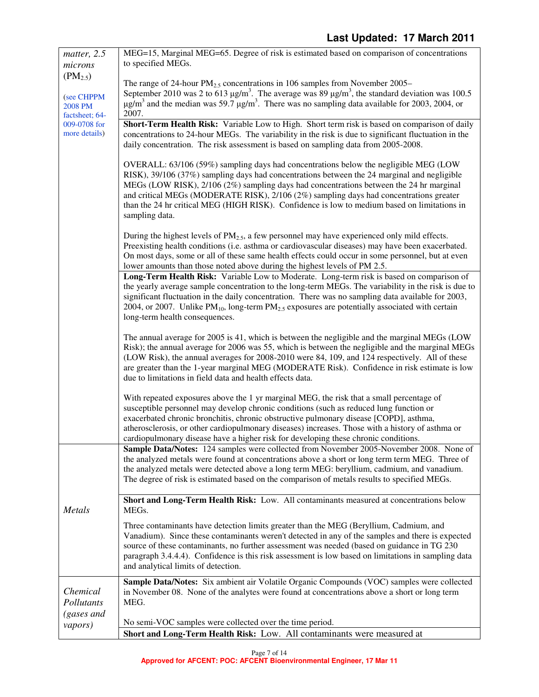| matter, 2.5            | MEG=15, Marginal MEG=65. Degree of risk is estimated based on comparison of concentrations                                                                                                         |
|------------------------|----------------------------------------------------------------------------------------------------------------------------------------------------------------------------------------------------|
| microns                | to specified MEGs.                                                                                                                                                                                 |
| $(PM_{2.5})$           | The range of 24-hour $PM_2$ , concentrations in 106 samples from November 2005–                                                                                                                    |
|                        | September 2010 was 2 to 613 $\mu$ g/m <sup>3</sup> . The average was 89 $\mu$ g/m <sup>3</sup> , the standard deviation was 100.5                                                                  |
| (see CHPPM<br>2008 PM  | $\mu$ g/m <sup>3</sup> and the median was 59.7 $\mu$ g/m <sup>3</sup> . There was no sampling data available for 2003, 2004, or                                                                    |
| factsheet; 64-         | 2007.                                                                                                                                                                                              |
| 009-0708 for           | Short-Term Health Risk: Variable Low to High. Short term risk is based on comparison of daily                                                                                                      |
| more details)          | concentrations to 24-hour MEGs. The variability in the risk is due to significant fluctuation in the                                                                                               |
|                        | daily concentration. The risk assessment is based on sampling data from 2005-2008.                                                                                                                 |
|                        | OVERALL: 63/106 (59%) sampling days had concentrations below the negligible MEG (LOW                                                                                                               |
|                        | RISK), 39/106 (37%) sampling days had concentrations between the 24 marginal and negligible                                                                                                        |
|                        | MEGs (LOW RISK), 2/106 (2%) sampling days had concentrations between the 24 hr marginal                                                                                                            |
|                        | and critical MEGs (MODERATE RISK), 2/106 (2%) sampling days had concentrations greater                                                                                                             |
|                        | than the 24 hr critical MEG (HIGH RISK). Confidence is low to medium based on limitations in                                                                                                       |
|                        | sampling data.                                                                                                                                                                                     |
|                        | During the highest levels of $PM_{2.5}$ , a few personnel may have experienced only mild effects.                                                                                                  |
|                        | Preexisting health conditions (i.e. asthma or cardiovascular diseases) may have been exacerbated.                                                                                                  |
|                        | On most days, some or all of these same health effects could occur in some personnel, but at even                                                                                                  |
|                        | lower amounts than those noted above during the highest levels of PM 2.5.                                                                                                                          |
|                        | Long-Term Health Risk: Variable Low to Moderate. Long-term risk is based on comparison of<br>the yearly average sample concentration to the long-term MEGs. The variability in the risk is due to  |
|                        | significant fluctuation in the daily concentration. There was no sampling data available for 2003,                                                                                                 |
|                        | 2004, or 2007. Unlike $PM_{10}$ , long-term $PM_{2.5}$ exposures are potentially associated with certain                                                                                           |
|                        | long-term health consequences.                                                                                                                                                                     |
|                        |                                                                                                                                                                                                    |
|                        | The annual average for 2005 is 41, which is between the negligible and the marginal MEGs (LOW                                                                                                      |
|                        | Risk); the annual average for 2006 was 55, which is between the negligible and the marginal MEGs<br>(LOW Risk), the annual averages for 2008-2010 were 84, 109, and 124 respectively. All of these |
|                        | are greater than the 1-year marginal MEG (MODERATE Risk). Confidence in risk estimate is low                                                                                                       |
|                        | due to limitations in field data and health effects data.                                                                                                                                          |
|                        |                                                                                                                                                                                                    |
|                        | With repeated exposures above the 1 yr marginal MEG, the risk that a small percentage of                                                                                                           |
|                        | susceptible personnel may develop chronic conditions (such as reduced lung function or<br>exacerbated chronic bronchitis, chronic obstructive pulmonary disease [COPD], asthma,                    |
|                        | atherosclerosis, or other cardiopulmonary diseases) increases. Those with a history of asthma or                                                                                                   |
|                        | cardiopulmonary disease have a higher risk for developing these chronic conditions.                                                                                                                |
|                        | <b>Sample Data/Notes:</b> 124 samples were collected from November 2005-November 2008. None of                                                                                                     |
|                        | the analyzed metals were found at concentrations above a short or long term term MEG. Three of                                                                                                     |
|                        | the analyzed metals were detected above a long term MEG: beryllium, cadmium, and vanadium.<br>The degree of risk is estimated based on the comparison of metals results to specified MEGs.         |
|                        |                                                                                                                                                                                                    |
|                        | Short and Long-Term Health Risk: Low. All contaminants measured at concentrations below                                                                                                            |
| Metals                 | MEG <sub>s</sub> .                                                                                                                                                                                 |
|                        | Three contaminants have detection limits greater than the MEG (Beryllium, Cadmium, and                                                                                                             |
|                        | Vanadium). Since these contaminants weren't detected in any of the samples and there is expected                                                                                                   |
|                        | source of these contaminants, no further assessment was needed (based on guidance in TG 230                                                                                                        |
|                        | paragraph 3.4.4.4). Confidence is this risk assessment is low based on limitations in sampling data<br>and analytical limits of detection.                                                         |
|                        |                                                                                                                                                                                                    |
|                        | Sample Data/Notes: Six ambient air Volatile Organic Compounds (VOC) samples were collected                                                                                                         |
| Chemical<br>Pollutants | in November 08. None of the analytes were found at concentrations above a short or long term<br>MEG.                                                                                               |
| (gases and             |                                                                                                                                                                                                    |
| <i>vapors</i> )        | No semi-VOC samples were collected over the time period.                                                                                                                                           |
|                        | Short and Long-Term Health Risk: Low. All contaminants were measured at                                                                                                                            |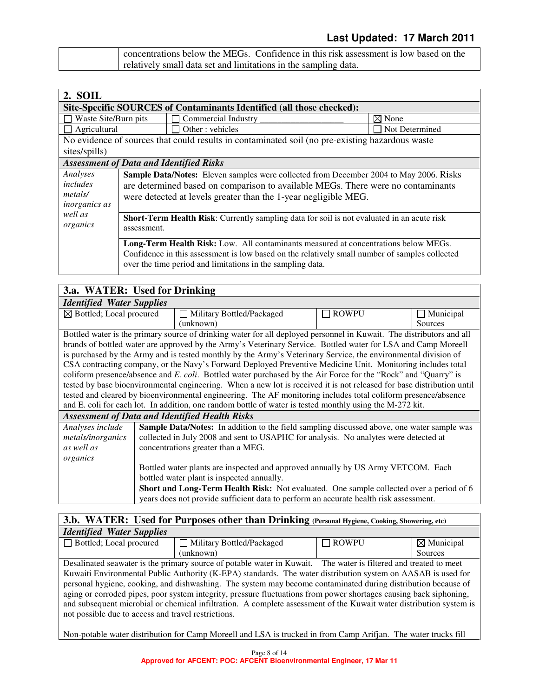| concentrations below the MEGs. Confidence in this risk assessment is low based on the |
|---------------------------------------------------------------------------------------|
| relatively small data set and limitations in the sampling data.                       |

| 2. SOIL                                                 |                                                                                                                                                                                                                                               |                                                                                                                                                   |                                                                                                |
|---------------------------------------------------------|-----------------------------------------------------------------------------------------------------------------------------------------------------------------------------------------------------------------------------------------------|---------------------------------------------------------------------------------------------------------------------------------------------------|------------------------------------------------------------------------------------------------|
|                                                         |                                                                                                                                                                                                                                               | Site-Specific SOURCES of Contaminants Identified (all those checked):                                                                             |                                                                                                |
| Waste Site/Burn pits                                    |                                                                                                                                                                                                                                               | Commercial Industry                                                                                                                               | $\boxtimes$ None                                                                               |
| Agricultural                                            |                                                                                                                                                                                                                                               | Other: vehicles                                                                                                                                   | Not Determined                                                                                 |
|                                                         |                                                                                                                                                                                                                                               | No evidence of sources that could results in contaminated soil (no pre-existing hazardous waster                                                  |                                                                                                |
| sites/spills)                                           |                                                                                                                                                                                                                                               |                                                                                                                                                   |                                                                                                |
|                                                         |                                                                                                                                                                                                                                               | <b>Assessment of Data and Identified Risks</b>                                                                                                    |                                                                                                |
| Analyses<br>includes<br>metals/<br><i>inorganics as</i> | Sample Data/Notes: Eleven samples were collected from December 2004 to May 2006. Risks<br>are determined based on comparison to available MEGs. There were no contaminants<br>were detected at levels greater than the 1-year negligible MEG. |                                                                                                                                                   |                                                                                                |
| well as<br>organics                                     | <b>Short-Term Health Risk:</b> Currently sampling data for soil is not evaluated in an acute risk<br>assessment.                                                                                                                              |                                                                                                                                                   |                                                                                                |
|                                                         |                                                                                                                                                                                                                                               | Long-Term Health Risk: Low. All contaminants measured at concentrations below MEGs.<br>over the time period and limitations in the sampling data. | Confidence in this assessment is low based on the relatively small number of samples collected |

# **3.a. WATER: Used for Drinking**

| <b>Identified Water Supplies</b>                                                                         |                                                                                                                |                                                                                                                        |              |                     |
|----------------------------------------------------------------------------------------------------------|----------------------------------------------------------------------------------------------------------------|------------------------------------------------------------------------------------------------------------------------|--------------|---------------------|
| $\boxtimes$ Bottled; Local procured                                                                      |                                                                                                                | Military Bottled/Packaged                                                                                              | <b>ROWPU</b> | Municipal<br>$\Box$ |
|                                                                                                          |                                                                                                                | (unknown)                                                                                                              |              | Sources             |
|                                                                                                          |                                                                                                                | Bottled water is the primary source of drinking water for all deployed personnel in Kuwait. The distributors and all   |              |                     |
|                                                                                                          |                                                                                                                | brands of bottled water are approved by the Army's Veterinary Service. Bottled water for LSA and Camp Moreell          |              |                     |
|                                                                                                          |                                                                                                                | is purchased by the Army and is tested monthly by the Army's Veterinary Service, the environmental division of         |              |                     |
|                                                                                                          |                                                                                                                | CSA contracting company, or the Navy's Forward Deployed Preventive Medicine Unit. Monitoring includes total            |              |                     |
|                                                                                                          |                                                                                                                | coliform presence/absence and E. coli. Bottled water purchased by the Air Force for the "Rock" and "Quarry" is         |              |                     |
|                                                                                                          |                                                                                                                | tested by base bioenvironmental engineering. When a new lot is received it is not released for base distribution until |              |                     |
|                                                                                                          | tested and cleared by bioenvironmental engineering. The AF monitoring includes total coliform presence/absence |                                                                                                                        |              |                     |
| and E. coli for each lot. In addition, one random bottle of water is tested monthly using the M-272 kit. |                                                                                                                |                                                                                                                        |              |                     |
|                                                                                                          |                                                                                                                | <b>Assessment of Data and Identified Health Risks</b>                                                                  |              |                     |
| Analyses include                                                                                         |                                                                                                                | <b>Sample Data/Notes:</b> In addition to the field sampling discussed above, one water sample was                      |              |                     |
| metals/inorganics                                                                                        |                                                                                                                | collected in July 2008 and sent to USAPHC for analysis. No analytes were detected at                                   |              |                     |
| as well as                                                                                               |                                                                                                                | concentrations greater than a MEG.                                                                                     |              |                     |
| organics                                                                                                 |                                                                                                                |                                                                                                                        |              |                     |
|                                                                                                          |                                                                                                                | Bottled water plants are inspected and approved annually by US Army VETCOM. Each                                       |              |                     |
|                                                                                                          |                                                                                                                | bottled water plant is inspected annually.                                                                             |              |                     |
|                                                                                                          |                                                                                                                | <b>Short and Long-Term Health Risk:</b> Not evaluated. One sample collected over a period of 6                         |              |                     |
|                                                                                                          |                                                                                                                | years does not provide sufficient data to perform an accurate health risk assessment.                                  |              |                     |

### **3.b. WATER: Used for Purposes other than Drinking (Personal Hygiene, Cooking, Showering, etc)** *Identified Water Supplies*

| <i>Ruchterften Hater Supplies</i>                                                                                   |                                                                                                                    |              |                       |
|---------------------------------------------------------------------------------------------------------------------|--------------------------------------------------------------------------------------------------------------------|--------------|-----------------------|
| $\Box$ Bottled; Local procured                                                                                      | Military Bottled/Packaged                                                                                          | $\Box$ ROWPU | $\boxtimes$ Municipal |
|                                                                                                                     | (unknown)                                                                                                          |              | Sources               |
|                                                                                                                     | Desalinated seawater is the primary source of potable water in Kuwait. The water is filtered and treated to meet   |              |                       |
|                                                                                                                     | Kuwaiti Environmental Public Authority (K-EPA) standards. The water distribution system on AASAB is used for       |              |                       |
|                                                                                                                     | personal hygiene, cooking, and dishwashing. The system may become contaminated during distribution because of      |              |                       |
|                                                                                                                     | aging or corroded pipes, poor system integrity, pressure fluctuations from power shortages causing back siphoning, |              |                       |
| and subsequent microbial or chemical infiltration. A complete assessment of the Kuwait water distribution system is |                                                                                                                    |              |                       |
| not possible due to access and travel restrictions.                                                                 |                                                                                                                    |              |                       |
|                                                                                                                     |                                                                                                                    |              |                       |

Non-potable water distribution for Camp Moreell and LSA is trucked in from Camp Arifjan. The water trucks fill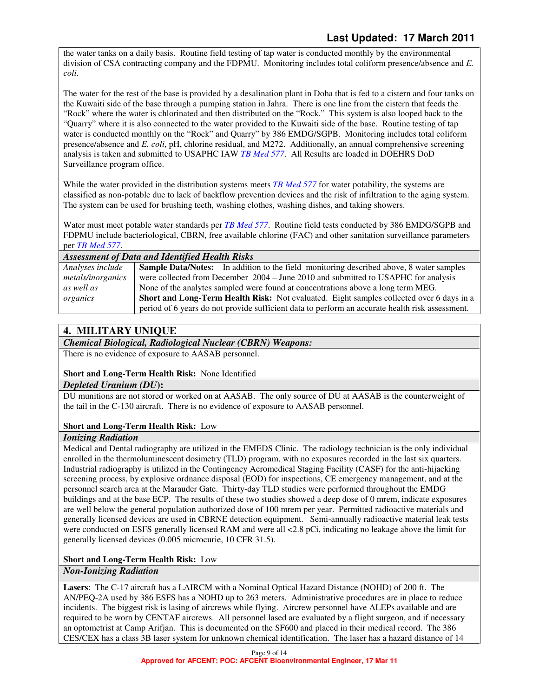the water tanks on a daily basis. Routine field testing of tap water is conducted monthly by the environmental division of CSA contracting company and the FDPMU. Monitoring includes total coliform presence/absence and *E. coli*.

The water for the rest of the base is provided by a desalination plant in Doha that is fed to a cistern and four tanks on the Kuwaiti side of the base through a pumping station in Jahra. There is one line from the cistern that feeds the "Rock" where the water is chlorinated and then distributed on the "Rock." This system is also looped back to the "Quarry" where it is also connected to the water provided to the Kuwaiti side of the base. Routine testing of tap water is conducted monthly on the "Rock" and Quarry" by 386 EMDG/SGPB. Monitoring includes total coliform presence/absence and *E. coli*, pH, chlorine residual, and M272. Additionally, an annual comprehensive screening analysis is taken and submitted to USAPHC IAW *TB Med 577*. All Results are loaded in DOEHRS DoD Surveillance program office.

While the water provided in the distribution systems meets *TB Med 577* for water potability, the systems are classified as non-potable due to lack of backflow prevention devices and the risk of infiltration to the aging system. The system can be used for brushing teeth, washing clothes, washing dishes, and taking showers.

Water must meet potable water standards per *TB Med 577*. Routine field tests conducted by 386 EMDG/SGPB and FDPMU include bacteriological, CBRN, free available chlorine (FAC) and other sanitation surveillance parameters per *TB Med 577*.

| <b>Assessment of Data and Identified Health Risks</b> |                                                                                                 |  |
|-------------------------------------------------------|-------------------------------------------------------------------------------------------------|--|
| Analyses include                                      | <b>Sample Data/Notes:</b> In addition to the field monitoring described above, 8 water samples  |  |
| metals/inorganics                                     | were collected from December 2004 - June 2010 and submitted to USAPHC for analysis              |  |
| as well as                                            | None of the analytes sampled were found at concentrations above a long term MEG.                |  |
| organics                                              | Short and Long-Term Health Risk: Not evaluated. Eight samples collected over 6 days in a        |  |
|                                                       | period of 6 years do not provide sufficient data to perform an accurate health risk assessment. |  |

# **4. MILITARY UNIQUE**

### *Chemical Biological, Radiological Nuclear (CBRN) Weapons:*

There is no evidence of exposure to AASAB personnel.

### **Short and Long-Term Health Risk:** None Identified

### *Depleted Uranium (DU***):**

DU munitions are not stored or worked on at AASAB. The only source of DU at AASAB is the counterweight of the tail in the C-130 aircraft. There is no evidence of exposure to AASAB personnel.

# **Short and Long-Term Health Risk:** Low

### *Ionizing Radiation*

Medical and Dental radiography are utilized in the EMEDS Clinic. The radiology technician is the only individual enrolled in the thermoluminescent dosimetry (TLD) program, with no exposures recorded in the last six quarters. Industrial radiography is utilized in the Contingency Aeromedical Staging Facility (CASF) for the anti-hijacking screening process, by explosive ordnance disposal (EOD) for inspections, CE emergency management, and at the personnel search area at the Marauder Gate. Thirty-day TLD studies were performed throughout the EMDG buildings and at the base ECP. The results of these two studies showed a deep dose of 0 mrem, indicate exposures are well below the general population authorized dose of 100 mrem per year. Permitted radioactive materials and generally licensed devices are used in CBRNE detection equipment. Semi-annually radioactive material leak tests were conducted on ESFS generally licensed RAM and were all <2.8 pCi, indicating no leakage above the limit for generally licensed devices (0.005 microcurie, 10 CFR 31.5).

# **Short and Long-Term Health Risk:** Low

# *Non-Ionizing Radiation*

**Lasers**: The C-17 aircraft has a LAIRCM with a Nominal Optical Hazard Distance (NOHD) of 200 ft. The AN/PEQ-2A used by 386 ESFS has a NOHD up to 263 meters. Administrative procedures are in place to reduce incidents. The biggest risk is lasing of aircrews while flying. Aircrew personnel have ALEPs available and are required to be worn by CENTAF aircrews. All personnel lased are evaluated by a flight surgeon, and if necessary an optometrist at Camp Arifjan. This is documented on the SF600 and placed in their medical record. The 386 CES/CEX has a class 3B laser system for unknown chemical identification. The laser has a hazard distance of 14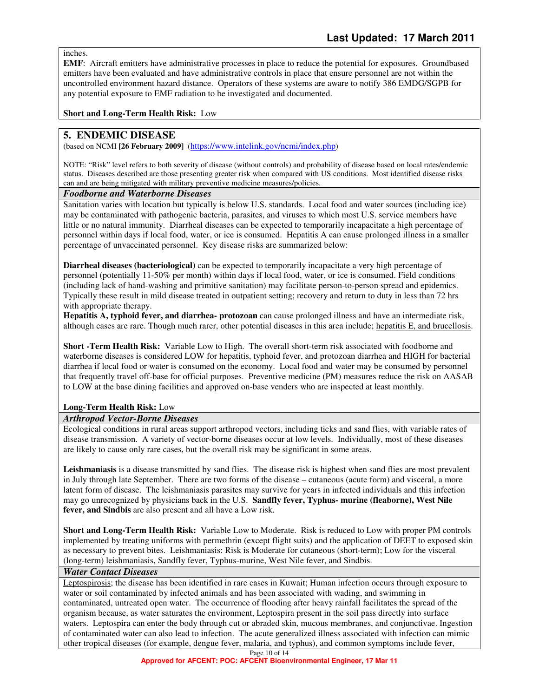inches.

**EMF**: Aircraft emitters have administrative processes in place to reduce the potential for exposures. Groundbased emitters have been evaluated and have administrative controls in place that ensure personnel are not within the uncontrolled environment hazard distance. Operators of these systems are aware to notify 386 EMDG/SGPB for any potential exposure to EMF radiation to be investigated and documented.

**Short and Long-Term Health Risk:** Low

## **5. ENDEMIC DISEASE**

(based on NCMI **[26 February 2009]** (https://www.intelink.gov/ncmi/index.php)

NOTE: "Risk" level refers to both severity of disease (without controls) and probability of disease based on local rates/endemic status. Diseases described are those presenting greater risk when compared with US conditions. Most identified disease risks can and are being mitigated with military preventive medicine measures/policies.

#### *Foodborne and Waterborne Diseases*

Sanitation varies with location but typically is below U.S. standards. Local food and water sources (including ice) may be contaminated with pathogenic bacteria, parasites, and viruses to which most U.S. service members have little or no natural immunity. Diarrheal diseases can be expected to temporarily incapacitate a high percentage of personnel within days if local food, water, or ice is consumed. Hepatitis A can cause prolonged illness in a smaller percentage of unvaccinated personnel. Key disease risks are summarized below:

**Diarrheal diseases (bacteriological)** can be expected to temporarily incapacitate a very high percentage of personnel (potentially 11-50% per month) within days if local food, water, or ice is consumed. Field conditions (including lack of hand-washing and primitive sanitation) may facilitate person-to-person spread and epidemics. Typically these result in mild disease treated in outpatient setting; recovery and return to duty in less than 72 hrs with appropriate therapy.

**Hepatitis A, typhoid fever, and diarrhea- protozoan** can cause prolonged illness and have an intermediate risk, although cases are rare. Though much rarer, other potential diseases in this area include; hepatitis E, and brucellosis.

**Short -Term Health Risk:** Variable Low to High.The overall short-term risk associated with foodborne and waterborne diseases is considered LOW for hepatitis, typhoid fever, and protozoan diarrhea and HIGH for bacterial diarrhea if local food or water is consumed on the economy. Local food and water may be consumed by personnel that frequently travel off-base for official purposes. Preventive medicine (PM) measures reduce the risk on AASAB to LOW at the base dining facilities and approved on-base venders who are inspected at least monthly.

### **Long-Term Health Risk:** Low

### *Arthropod Vector-Borne Diseases*

Ecological conditions in rural areas support arthropod vectors, including ticks and sand flies, with variable rates of disease transmission. A variety of vector-borne diseases occur at low levels. Individually, most of these diseases are likely to cause only rare cases, but the overall risk may be significant in some areas.

**Leishmaniasis** is a disease transmitted by sand flies. The disease risk is highest when sand flies are most prevalent in July through late September. There are two forms of the disease – cutaneous (acute form) and visceral, a more latent form of disease. The leishmaniasis parasites may survive for years in infected individuals and this infection may go unrecognized by physicians back in the U.S. **Sandfly fever, Typhus- murine (fleaborne), West Nile fever, and Sindbis** are also present and all have a Low risk.

**Short and Long-Term Health Risk:** Variable Low to Moderate. Risk is reduced to Low with proper PM controls implemented by treating uniforms with permethrin (except flight suits) and the application of DEET to exposed skin as necessary to prevent bites. Leishmaniasis: Risk is Moderate for cutaneous (short-term); Low for the visceral (long-term) leishmaniasis, Sandfly fever, Typhus-murine, West Nile fever, and Sindbis.

#### *Water Contact Diseases*

Leptospirosis; the disease has been identified in rare cases in Kuwait; Human infection occurs through exposure to water or soil contaminated by infected animals and has been associated with wading, and swimming in contaminated, untreated open water. The occurrence of flooding after heavy rainfall facilitates the spread of the organism because, as water saturates the environment, Leptospira present in the soil pass directly into surface waters. Leptospira can enter the body through cut or abraded skin, mucous membranes, and conjunctivae. Ingestion of contaminated water can also lead to infection. The acute generalized illness associated with infection can mimic other tropical diseases (for example, dengue fever, malaria, and typhus), and common symptoms include fever,

Page 10 of 14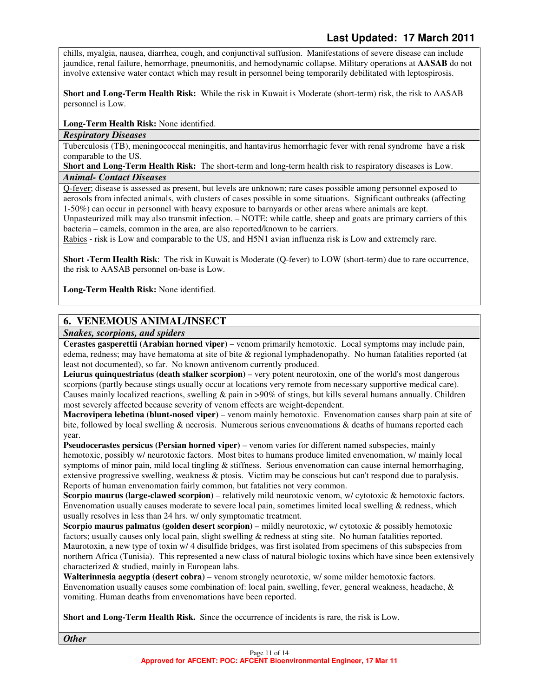chills, myalgia, nausea, diarrhea, cough, and conjunctival suffusion. Manifestations of severe disease can include jaundice, renal failure, hemorrhage, pneumonitis, and hemodynamic collapse. Military operations at **AASAB** do not involve extensive water contact which may result in personnel being temporarily debilitated with leptospirosis.

**Short and Long-Term Health Risk:** While the risk in Kuwait is Moderate (short-term) risk, the risk to AASAB personnel is Low.

**Long-Term Health Risk:** None identified.

### *Respiratory Diseases*

Tuberculosis (TB), meningococcal meningitis, and hantavirus hemorrhagic fever with renal syndrome have a risk comparable to the US.

**Short and Long-Term Health Risk:** The short-term and long-term health risk to respiratory diseases is Low. *Animal- Contact Diseases* 

Q-fever; disease is assessed as present, but levels are unknown; rare cases possible among personnel exposed to aerosols from infected animals, with clusters of cases possible in some situations. Significant outbreaks (affecting 1-50%) can occur in personnel with heavy exposure to barnyards or other areas where animals are kept.

Unpasteurized milk may also transmit infection. – NOTE: while cattle, sheep and goats are primary carriers of this bacteria – camels, common in the area, are also reported/known to be carriers.

Rabies - risk is Low and comparable to the US, and H5N1 avian influenza risk is Low and extremely rare.

**Short -Term Health Risk**: The risk in Kuwait is Moderate (Q-fever) to LOW (short-term) due to rare occurrence, the risk to AASAB personnel on-base is Low.

**Long-Term Health Risk:** None identified.

# **6. VENEMOUS ANIMAL/INSECT**

*Snakes, scorpions, and spiders* 

**Cerastes gasperettii (Arabian horned viper)** – venom primarily hemotoxic. Local symptoms may include pain, edema, redness; may have hematoma at site of bite & regional lymphadenopathy. No human fatalities reported (at least not documented), so far. No known antivenom currently produced.

**Leiurus quinquestriatus (death stalker scorpion)** – very potent neurotoxin, one of the world's most dangerous scorpions (partly because stings usually occur at locations very remote from necessary supportive medical care). Causes mainly localized reactions, swelling & pain in >90% of stings, but kills several humans annually. Children most severely affected because severity of venom effects are weight-dependent.

**Macrovipera lebetina (blunt-nosed viper)** – venom mainly hemotoxic. Envenomation causes sharp pain at site of bite, followed by local swelling & necrosis. Numerous serious envenomations & deaths of humans reported each year.

**Pseudocerastes persicus (Persian horned viper)** – venom varies for different named subspecies, mainly hemotoxic, possibly w/ neurotoxic factors. Most bites to humans produce limited envenomation, w/ mainly local symptoms of minor pain, mild local tingling & stiffness. Serious envenomation can cause internal hemorrhaging, extensive progressive swelling, weakness & ptosis. Victim may be conscious but can't respond due to paralysis. Reports of human envenomation fairly common, but fatalities not very common.

**Scorpio maurus (large-clawed scorpion)** – relatively mild neurotoxic venom, w/ cytotoxic & hemotoxic factors. Envenomation usually causes moderate to severe local pain, sometimes limited local swelling & redness, which usually resolves in less than 24 hrs. w/ only symptomatic treatment.

**Scorpio maurus palmatus (golden desert scorpion)** – mildly neurotoxic, w/ cytotoxic & possibly hemotoxic factors; usually causes only local pain, slight swelling & redness at sting site. No human fatalities reported. Maurotoxin, a new type of toxin w/ 4 disulfide bridges, was first isolated from specimens of this subspecies from northern Africa (Tunisia). This represented a new class of natural biologic toxins which have since been extensively characterized & studied, mainly in European labs.

**Walterinnesia aegyptia (desert cobra)** – venom strongly neurotoxic, w/ some milder hemotoxic factors. Envenomation usually causes some combination of: local pain, swelling, fever, general weakness, headache, & vomiting. Human deaths from envenomations have been reported.

**Short and Long-Term Health Risk.** Since the occurrence of incidents is rare, the risk is Low.

*Other*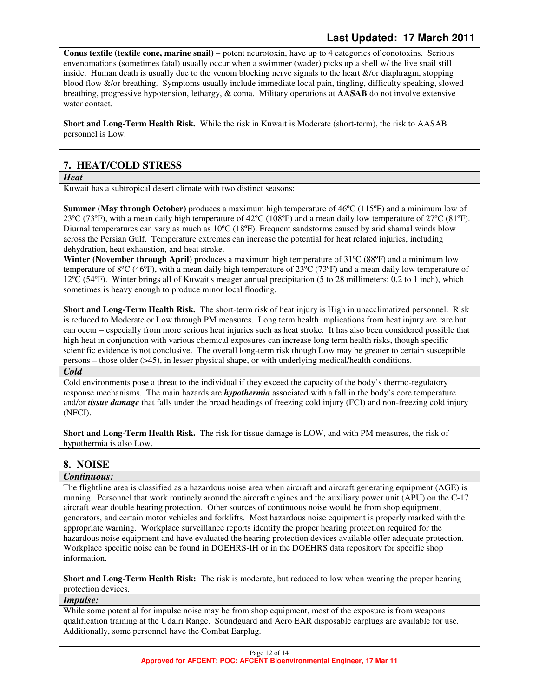**Conus textile (textile cone, marine snail)** – potent neurotoxin, have up to 4 categories of conotoxins. Serious envenomations (sometimes fatal) usually occur when a swimmer (wader) picks up a shell w/ the live snail still inside. Human death is usually due to the venom blocking nerve signals to the heart &/or diaphragm, stopping blood flow &/or breathing. Symptoms usually include immediate local pain, tingling, difficulty speaking, slowed breathing, progressive hypotension, lethargy, & coma. Military operations at **AASAB** do not involve extensive water contact.

**Short and Long-Term Health Risk.** While the risk in Kuwait is Moderate (short-term), the risk to AASAB personnel is Low.

# **7. HEAT/COLD STRESS**

*Heat* 

Kuwait has a subtropical desert climate with two distinct seasons:

**Summer (May through October)** produces a maximum high temperature of 46<sup>o</sup>C (115<sup>o</sup>F) and a minimum low of 23ºC (73ºF), with a mean daily high temperature of 42ºC (108ºF) and a mean daily low temperature of 27ºC (81ºF). Diurnal temperatures can vary as much as 10ºC (18ºF). Frequent sandstorms caused by arid shamal winds blow across the Persian Gulf. Temperature extremes can increase the potential for heat related injuries, including dehydration, heat exhaustion, and heat stroke.

**Winter (November through April)** produces a maximum high temperature of 31ºC (88ºF) and a minimum low temperature of 8ºC (46ºF), with a mean daily high temperature of 23ºC (73ºF) and a mean daily low temperature of 12ºC (54ºF). Winter brings all of Kuwait's meager annual precipitation (5 to 28 millimeters; 0.2 to 1 inch), which sometimes is heavy enough to produce minor local flooding.

**Short and Long-Term Health Risk.** The short-term risk of heat injury is High in unacclimatized personnel. Risk is reduced to Moderate or Low through PM measures. Long term health implications from heat injury are rare but can occur – especially from more serious heat injuries such as heat stroke. It has also been considered possible that high heat in conjunction with various chemical exposures can increase long term health risks, though specific scientific evidence is not conclusive. The overall long-term risk though Low may be greater to certain susceptible persons – those older (>45), in lesser physical shape, or with underlying medical/health conditions.

#### *Cold*

Cold environments pose a threat to the individual if they exceed the capacity of the body's thermo-regulatory response mechanisms. The main hazards are *hypothermia* associated with a fall in the body's core temperature and/or *tissue damage* that falls under the broad headings of freezing cold injury (FCI) and non-freezing cold injury (NFCI).

**Short and Long-Term Health Risk.** The risk for tissue damage is LOW, and with PM measures, the risk of hypothermia is also Low.

## **8. NOISE**

#### *Continuous:*

The flightline area is classified as a hazardous noise area when aircraft and aircraft generating equipment (AGE) is running. Personnel that work routinely around the aircraft engines and the auxiliary power unit (APU) on the C-17 aircraft wear double hearing protection. Other sources of continuous noise would be from shop equipment, generators, and certain motor vehicles and forklifts. Most hazardous noise equipment is properly marked with the appropriate warning. Workplace surveillance reports identify the proper hearing protection required for the hazardous noise equipment and have evaluated the hearing protection devices available offer adequate protection. Workplace specific noise can be found in DOEHRS-IH or in the DOEHRS data repository for specific shop information.

**Short and Long-Term Health Risk:** The risk is moderate, but reduced to low when wearing the proper hearing protection devices.

## *Impulse:*

While some potential for impulse noise may be from shop equipment, most of the exposure is from weapons qualification training at the Udairi Range. Soundguard and Aero EAR disposable earplugs are available for use. Additionally, some personnel have the Combat Earplug.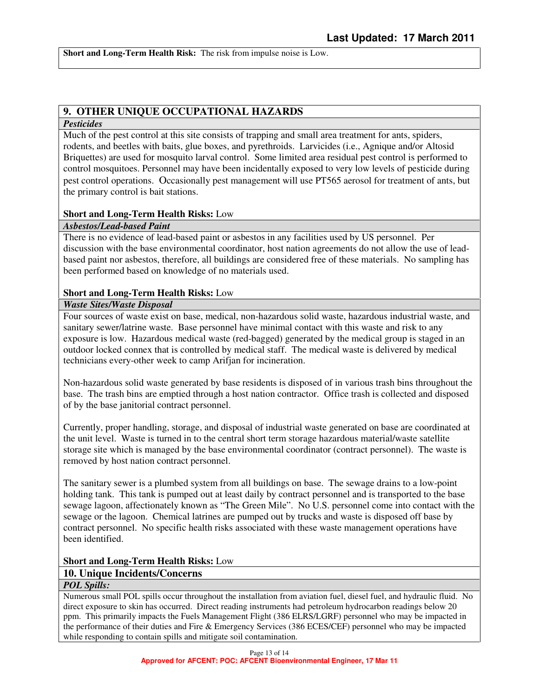**Short and Long-Term Health Risk:** The risk from impulse noise is Low.

# **9. OTHER UNIQUE OCCUPATIONAL HAZARDS**

#### *Pesticides*

Much of the pest control at this site consists of trapping and small area treatment for ants, spiders, rodents, and beetles with baits, glue boxes, and pyrethroids. Larvicides (i.e., Agnique and/or Altosid Briquettes) are used for mosquito larval control. Some limited area residual pest control is performed to control mosquitoes. Personnel may have been incidentally exposed to very low levels of pesticide during pest control operations. Occasionally pest management will use PT565 aerosol for treatment of ants, but the primary control is bait stations.

### **Short and Long-Term Health Risks:** Low

### *Asbestos/Lead-based Paint*

There is no evidence of lead-based paint or asbestos in any facilities used by US personnel. Per discussion with the base environmental coordinator, host nation agreements do not allow the use of leadbased paint nor asbestos, therefore, all buildings are considered free of these materials. No sampling has been performed based on knowledge of no materials used.

### **Short and Long-Term Health Risks:** Low

### *Waste Sites/Waste Disposal*

Four sources of waste exist on base, medical, non-hazardous solid waste, hazardous industrial waste, and sanitary sewer/latrine waste. Base personnel have minimal contact with this waste and risk to any exposure is low. Hazardous medical waste (red-bagged) generated by the medical group is staged in an outdoor locked connex that is controlled by medical staff. The medical waste is delivered by medical technicians every-other week to camp Arifjan for incineration.

Non-hazardous solid waste generated by base residents is disposed of in various trash bins throughout the base. The trash bins are emptied through a host nation contractor. Office trash is collected and disposed of by the base janitorial contract personnel.

Currently, proper handling, storage, and disposal of industrial waste generated on base are coordinated at the unit level. Waste is turned in to the central short term storage hazardous material/waste satellite storage site which is managed by the base environmental coordinator (contract personnel). The waste is removed by host nation contract personnel.

The sanitary sewer is a plumbed system from all buildings on base. The sewage drains to a low-point holding tank. This tank is pumped out at least daily by contract personnel and is transported to the base sewage lagoon, affectionately known as "The Green Mile". No U.S. personnel come into contact with the sewage or the lagoon. Chemical latrines are pumped out by trucks and waste is disposed off base by contract personnel. No specific health risks associated with these waste management operations have been identified.

### **Short and Long-Term Health Risks:** Low

# **10. Unique Incidents/Concerns**

## *POL Spills:*

Numerous small POL spills occur throughout the installation from aviation fuel, diesel fuel, and hydraulic fluid. No direct exposure to skin has occurred. Direct reading instruments had petroleum hydrocarbon readings below 20 ppm. This primarily impacts the Fuels Management Flight (386 ELRS/LGRF) personnel who may be impacted in the performance of their duties and Fire & Emergency Services (386 ECES/CEF) personnel who may be impacted while responding to contain spills and mitigate soil contamination.